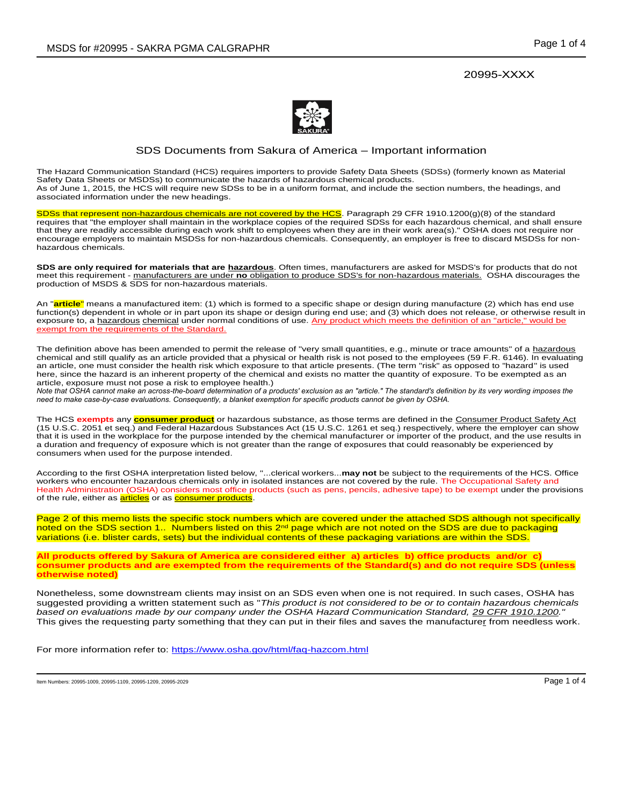

## SDS Documents from Sakura of America – Important information

The Hazard Communication Standard (HCS) requires importers to provide Safety Data Sheets (SDSs) (formerly known as Material Safety Data Sheets or MSDSs) to communicate the hazards of hazardous chemical products. As of June 1, 2015, the HCS will require new SDSs to be in a uniform format, and include the section numbers, the headings, and associated information under the new headings.

SDSs that represent non-hazardous chemicals are not covered by the HCS. Paragraph 29 CFR 1910.1200(g)(8) of the standard requires that "the employer shall maintain in the workplace copies of the required SDSs for each hazardous chemical, and shall ensure that they are readily accessible during each work shift to employees when they are in their work area(s)." OSHA does not require nor encourage employers to maintain MSDSs for non-hazardous chemicals. Consequently, an employer is free to discard MSDSs for nonhazardous chemicals.

**SDS are only required for materials that are hazardous**. Often times, manufacturers are asked for MSDS's for products that do not meet this requirement - manufacturers are under **no** obligation to produce SDS's for non-hazardous materials. OSHA discourages the production of MSDS & SDS for non-hazardous materials.

An "**article**" means a manufactured item: (1) which is formed to a specific shape or design during manufacture (2) which has end use function(s) dependent in whole or in part upon its shape or design during end use; and (3) which does not release, or otherwise result in exposure to, a hazardous chemical under normal conditions of use. Any product which meets the definition of an "article," would be exempt from the requirements of the Standard.

The definition above has been amended to permit the release of "very small quantities, e.g., minute or trace amounts" of a hazardous chemical and still qualify as an article provided that a physical or health risk is not posed to the employees (59 F.R. 6146). In evaluating an article, one must consider the health risk which exposure to that article presents. (The term "risk" as opposed to "hazard" is used here, since the hazard is an inherent property of the chemical and exists no matter the quantity of exposure. To be exempted as an article, exposure must not pose a risk to employee health.)

*Note that OSHA cannot make an across-the-board determination of a products' exclusion as an "article." The standard's definition by its very wording imposes the need to make case-by-case evaluations. Consequently, a blanket exemption for specific products cannot be given by OSHA.*

The HCS **exempts** any **consumer product** or hazardous substance, as those terms are defined in the Consumer Product Safety Act (15 U.S.C. 2051 et seq.) and Federal Hazardous Substances Act (15 U.S.C. 1261 et seq.) respectively, where the employer can show that it is used in the workplace for the purpose intended by the chemical manufacturer or importer of the product, and the use results in a duration and frequency of exposure which is not greater than the range of exposures that could reasonably be experienced by consumers when used for the purpose intended.

According to the first OSHA interpretation listed below, "...clerical workers...**may not** be subject to the requirements of the HCS. Office workers who encounter hazardous chemicals only in isolated instances are not covered by the rule. The Occupational Safety and Health Administration (OSHA) considers most office products (such as pens, pencils, adhesive tape) to be exempt under the provisions of the rule, either as **articles** or as **consumer products**.

Page 2 of this memo lists the specific stock numbers which are covered under the attached SDS although not specifically noted on the SDS section 1.. Numbers listed on this 2<sup>nd</sup> page which are not noted on the SDS are due to packaging variations (i.e. blister cards, sets) but the individual contents of these packaging variations are within the SDS.

**All products offered by Sakura of America are considered either a) articles b) office products and/or c) consumer products and are exempted from the requirements of the Standard(s) and do not require SDS (unless otherwise noted)**

Nonetheless, some downstream clients may insist on an SDS even when one is not required. In such cases, OSHA has suggested providing a written statement such as "*This product is not considered to be or to contain hazardous chemicals based on evaluations made by our company under the OSHA Hazard Communication Standard, 29 CFR 1910.1200."* This gives the requesting party something that they can put in their files and saves the manufacturer from needless work.

For more information refer to: https://www.osha.gov/html/faq-hazcom.html

Item Numbers: 20995-1009, 20995-1109, 20995-1209, 20995-2029 Page 1 of 4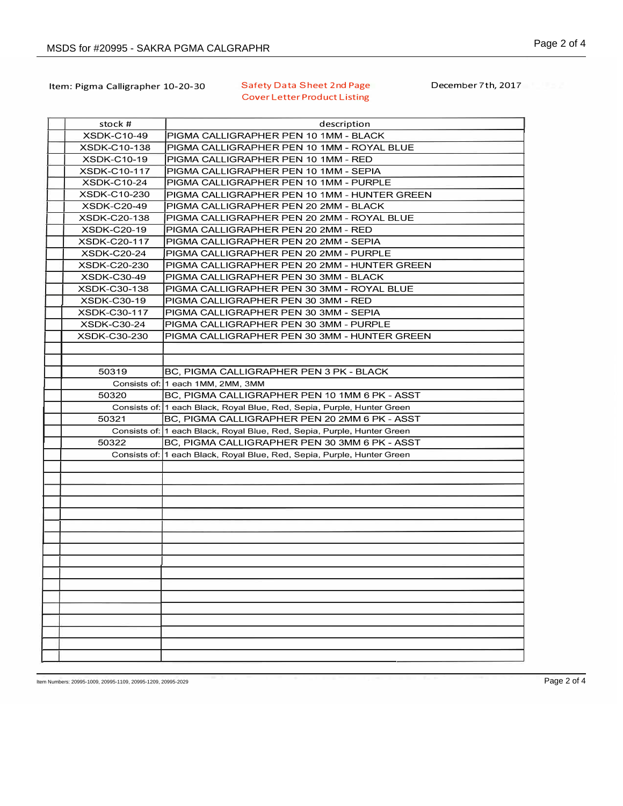## Item: Pigma Calligrapher 10-20-30 Safety Data Sheet 2nd Page Cover Letter Product Listing

December 7th, 2017

| stock #             | description                                                             |
|---------------------|-------------------------------------------------------------------------|
| <b>XSDK-C10-49</b>  | PIGMA CALLIGRAPHER PEN 10 1MM - BLACK                                   |
| <b>XSDK-C10-138</b> | PIGMA CALLIGRAPHER PEN 10 1MM - ROYAL BLUE                              |
| <b>XSDK-C10-19</b>  | PIGMA CALLIGRAPHER PEN 10 1MM - RED                                     |
| <b>XSDK-C10-117</b> | PIGMA CALLIGRAPHER PEN 10 1MM - SEPIA                                   |
| <b>XSDK-C10-24</b>  | PIGMA CALLIGRAPHER PEN 10 1MM - PURPLE                                  |
| XSDK-C10-230        | PIGMA CALLIGRAPHER PEN 10 1MM - HUNTER GREEN                            |
| <b>XSDK-C20-49</b>  | PIGMA CALLIGRAPHER PEN 20 2MM - BLACK                                   |
| XSDK-C20-138        | PIGMA CALLIGRAPHER PEN 20 2MM - ROYAL BLUE                              |
| <b>XSDK-C20-19</b>  | PIGMA CALLIGRAPHER PEN 20 2MM - RED                                     |
| <b>XSDK-C20-117</b> | PIGMA CALLIGRAPHER PEN 20 2MM - SEPIA                                   |
| <b>XSDK-C20-24</b>  | PIGMA CALLIGRAPHER PEN 20 2MM - PURPLE                                  |
| XSDK-C20-230        | PIGMA CALLIGRAPHER PEN 20 2MM - HUNTER GREEN                            |
| <b>XSDK-C30-49</b>  | PIGMA CALLIGRAPHER PEN 30 3MM - BLACK                                   |
| XSDK-C30-138        | PIGMA CALLIGRAPHER PEN 30 3MM - ROYAL BLUE                              |
| <b>XSDK-C30-19</b>  | PIGMA CALLIGRAPHER PEN 30 3MM - RED                                     |
| <b>XSDK-C30-117</b> | PIGMA CALLIGRAPHER PEN 30 3MM - SEPIA                                   |
| <b>XSDK-C30-24</b>  | PIGMA CALLIGRAPHER PEN 30 3MM - PURPLE                                  |
| <b>XSDK-C30-230</b> | PIGMA CALLIGRAPHER PEN 30 3MM - HUNTER GREEN                            |
|                     |                                                                         |
|                     |                                                                         |
| 50319               | BC, PIGMA CALLIGRAPHER PEN 3 PK - BLACK                                 |
|                     | Consists of: 1 each 1MM, 2MM, 3MM                                       |
| 50320               | BC, PIGMA CALLIGRAPHER PEN 10 1MM 6 PK - ASST                           |
|                     | Consists of: 1 each Black, Royal Blue, Red, Sepia, Purple, Hunter Green |
| 50321               | BC, PIGMA CALLIGRAPHER PEN 20 2MM 6 PK - ASST                           |
|                     | Consists of: 1 each Black, Royal Blue, Red, Sepia, Purple, Hunter Green |
| 50322               | BC, PIGMA CALLIGRAPHER PEN 30 3MM 6 PK - ASST                           |
|                     | Consists of: 1 each Black, Royal Blue, Red, Sepia, Purple, Hunter Green |
|                     |                                                                         |
|                     |                                                                         |
|                     |                                                                         |
|                     |                                                                         |
|                     |                                                                         |
|                     |                                                                         |
|                     |                                                                         |
|                     |                                                                         |
|                     |                                                                         |
|                     |                                                                         |
|                     |                                                                         |
|                     |                                                                         |
|                     |                                                                         |
|                     |                                                                         |
|                     |                                                                         |
|                     |                                                                         |
|                     |                                                                         |

Item Numbers: 20995-1009, 20995-1109, 20995-1209, 20995-2029 Page 2 of 4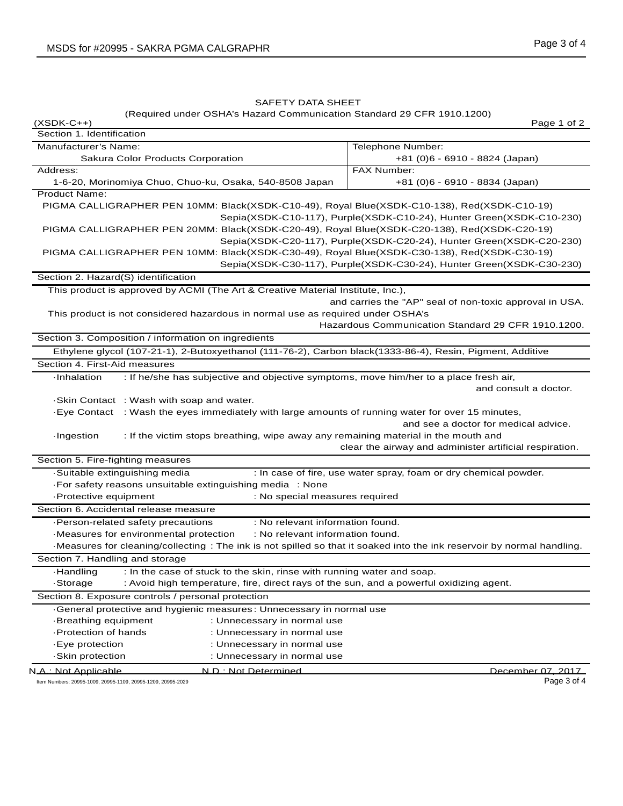(Required under OSHA's Hazard Communication Standard 29 CFR 1910.1200) (XSDK-C++) Page 1 of 2

Section 1. Identification Manufacturer's Name: Sakura Color Products Corporation Telephone Number: +81 (0)6 - 6910 - 8824 (Japan) Address: 1-6-20, Morinomiya Chuo, Chuo-ku, Osaka, 540-8508 Japan FAX Number: +81 (0)6 - 6910 - 8834 (Japan) Product Name: PIGMA CALLIGRAPHER PEN 10MM: Black(XSDK-C10-49), Royal Blue(XSDK-C10-138), Red(XSDK-C10-19) Sepia(XSDK-C10-117), Purple(XSDK-C10-24), Hunter Green(XSDK-C10-230) PIGMA CALLIGRAPHER PEN 20MM: Black(XSDK-C20-49), Royal Blue(XSDK-C20-138), Red(XSDK-C20-19) Sepia(XSDK-C20-117), Purple(XSDK-C20-24), Hunter Green(XSDK-C20-230) PIGMA CALLIGRAPHER PEN 10MM: Black(XSDK-C30-49), Royal Blue(XSDK-C30-138), Red(XSDK-C30-19) Sepia(XSDK-C30-117), Purple(XSDK-C30-24), Hunter Green(XSDK-C30-230) Section 2. Hazard(S) identification This product is approved by ACMI (The Art & Creative Material Institute, Inc.), and carries the "AP" seal of non-toxic approval in USA. This product is not considered hazardous in normal use as required under OSHA's Hazardous Communication Standard 29 CFR 1910.1200. Section 3. Composition / information on ingredients Ethylene glycol (107-21-1), 2-Butoxyethanol (111-76-2), Carbon black(1333-86-4), Resin, Pigment, Additive Section 4. First-Aid measures ·Inhalation : If he/she has subjective and objective symptoms, move him/her to a place fresh air, and consult a doctor. ·Skin Contact : Wash with soap and water. ·Eye Contact : Wash the eyes immediately with large amounts of running water for over 15 minutes, and see a doctor for medical advice. ·Ingestion : If the victim stops breathing, wipe away any remaining material in the mouth and clear the airway and administer artificial respiration. Section 5. Fire-fighting measures ·Suitable extinguishing media : In case of fire, use water spray, foam or dry chemical powder. ·For safety reasons unsuitable extinguishing media : None ·Protective equipment : No special measures required Section 6. Accidental release measure ·Person-related safety precautions : No relevant information found. ·Measures for environmental protection : No relevant information found. ·Measures for cleaning/collecting : The ink is not spilled so that it soaked into the ink reservoir by normal handling. Section 7. Handling and storage ·Handling : In the case of stuck to the skin, rinse with running water and soap. ·Storage : Avoid high temperature, fire, direct rays of the sun, and a powerful oxidizing agent. Section 8. Exposure controls / personal protection ·General protective and hygienic measures : Unnecessary in normal use ·Breathing equipment : Unnecessary in normal use ·Protection of hands : Unnecessary in normal use ·Eye protection : Unnecessary in normal use ·Skin protection : Unnecessary in normal use N.A.: Not Applicable N.D.: Not Determined December 07, 2017

Item Numbers: 20995-1009, 20995-1109, 20995-1209, 20995-2029 Page 3 of 4